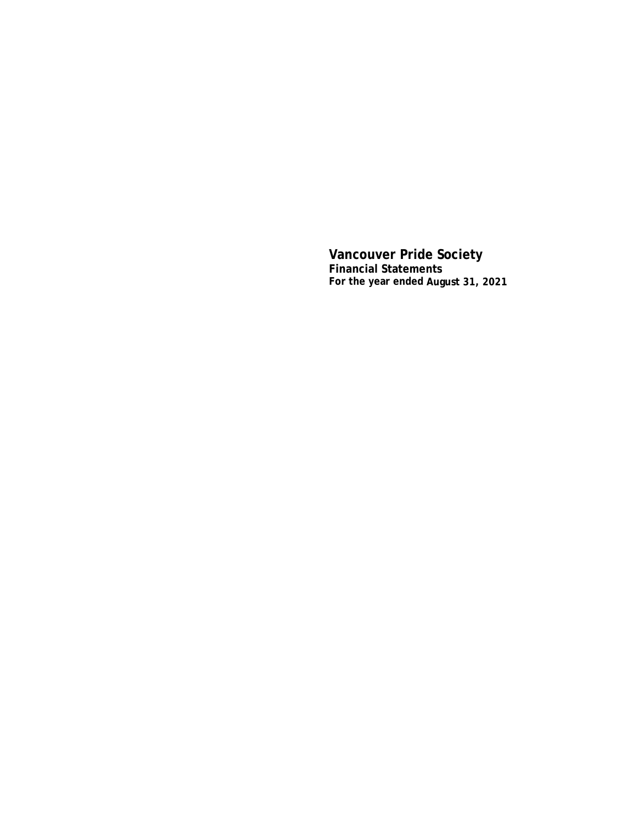**Vancouver Pride Society Financial Statements For the year ended August 31, 2021**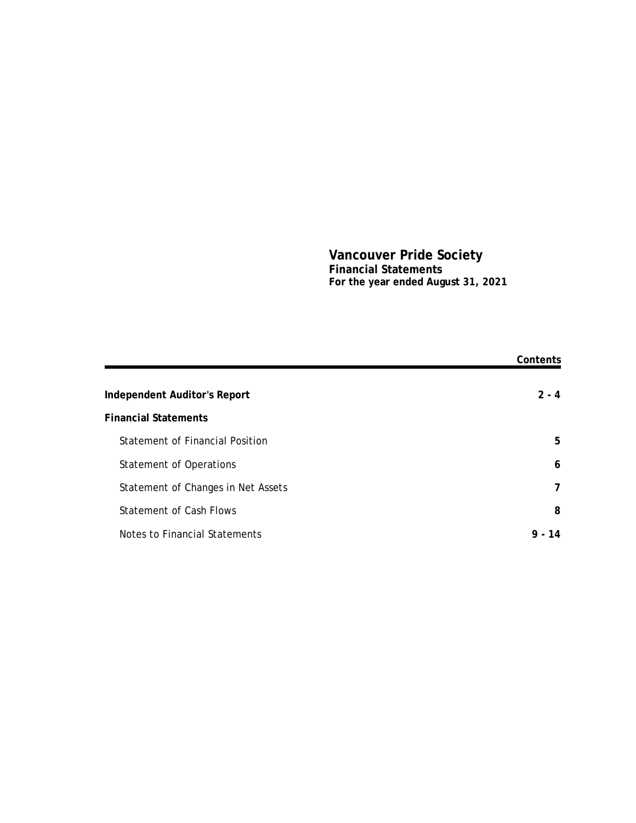## **Vancouver Pride Society Financial Statements For the year ended August 31, 2021**

|                                    | Contents       |
|------------------------------------|----------------|
| Independent Auditor's Report       | $2 - 4$        |
| <b>Financial Statements</b>        |                |
| Statement of Financial Position    | 5              |
| Statement of Operations            | 6              |
| Statement of Changes in Net Assets | $\overline{7}$ |
| Statement of Cash Flows            | 8              |
| Notes to Financial Statements      | $9 -$<br>14    |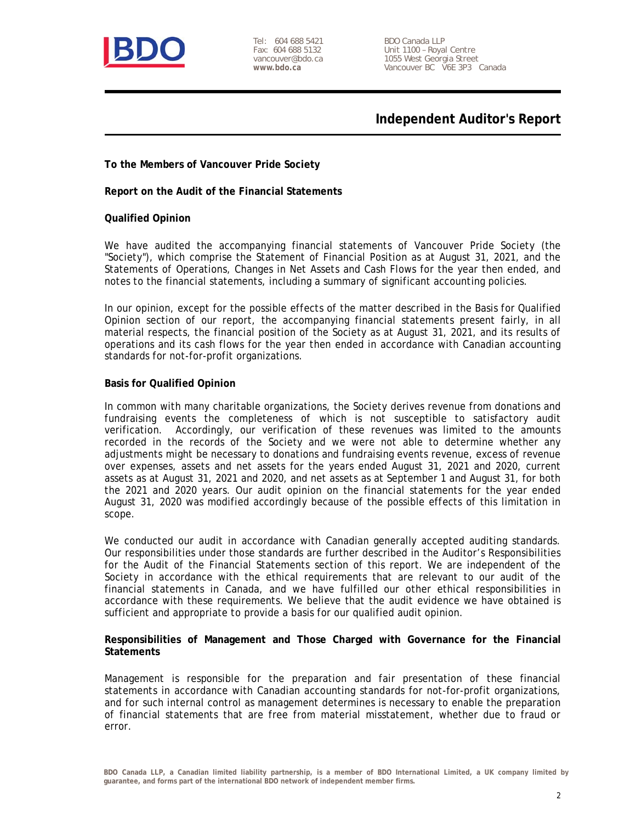

Tel: 604 688 5421 Fax: 604 688 5132 vancouver@bdo.ca **www.bdo.ca**

BDO Canada LLP Unit 1100 – Royal Centre 1055 West Georgia Street Vancouver BC V6E 3P3 Canada

**Independent Auditor's Report**

**To the Members of Vancouver Pride Society**

**Report on the Audit of the Financial Statements**

**Qualified Opinion**

We have audited the accompanying financial statements of Vancouver Pride Society (the "Society"), which comprise the Statement of Financial Position as at August 31, 2021, and the Statements of Operations, Changes in Net Assets and Cash Flows for the year then ended, and notes to the financial statements, including a summary of significant accounting policies.

In our opinion, except for the possible effects of the matter described in the Basis for Qualified Opinion section of our report, the accompanying financial statements present fairly, in all material respects, the financial position of the Society as at August 31, 2021, and its results of operations and its cash flows for the year then ended in accordance with Canadian accounting standards for not-for-profit organizations.

### **Basis for Qualified Opinion**

In common with many charitable organizations, the Society derives revenue from donations and fundraising events the completeness of which is not susceptible to satisfactory audit verification. Accordingly, our verification of these revenues was limited to the amounts recorded in the records of the Society and we were not able to determine whether any adjustments might be necessary to donations and fundraising events revenue, excess of revenue over expenses, assets and net assets for the years ended August 31, 2021 and 2020, current assets as at August 31, 2021 and 2020, and net assets as at September 1 and August 31, for both the 2021 and 2020 years. Our audit opinion on the financial statements for the year ended August 31, 2020 was modified accordingly because of the possible effects of this limitation in scope.

We conducted our audit in accordance with Canadian generally accepted auditing standards. Our responsibilities under those standards are further described in the Auditor's Responsibilities for the Audit of the Financial Statements section of this report. We are independent of the Society in accordance with the ethical requirements that are relevant to our audit of the financial statements in Canada, and we have fulfilled our other ethical responsibilities in accordance with these requirements. We believe that the audit evidence we have obtained is sufficient and appropriate to provide a basis for our qualified audit opinion.

**Responsibilities of Management and Those Charged with Governance for the Financial Statements**

Management is responsible for the preparation and fair presentation of these financial statements in accordance with Canadian accounting standards for not-for-profit organizations, and for such internal control as management determines is necessary to enable the preparation of financial statements that are free from material misstatement, whether due to fraud or error.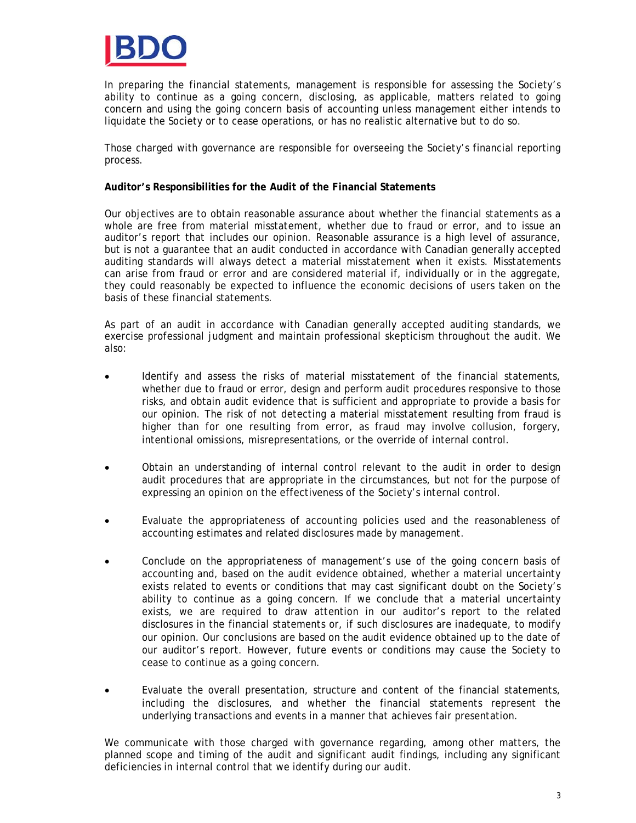

In preparing the financial statements, management is responsible for assessing the Society's ability to continue as a going concern, disclosing, as applicable, matters related to going concern and using the going concern basis of accounting unless management either intends to liquidate the Society or to cease operations, or has no realistic alternative but to do so.

Those charged with governance are responsible for overseeing the Society's financial reporting process.

**Auditor's Responsibilities for the Audit of the Financial Statements**

Our objectives are to obtain reasonable assurance about whether the financial statements as a whole are free from material misstatement, whether due to fraud or error, and to issue an auditor's report that includes our opinion. Reasonable assurance is a high level of assurance, but is not a guarantee that an audit conducted in accordance with Canadian generally accepted auditing standards will always detect a material misstatement when it exists. Misstatements can arise from fraud or error and are considered material if, individually or in the aggregate, they could reasonably be expected to influence the economic decisions of users taken on the basis of these financial statements.

As part of an audit in accordance with Canadian generally accepted auditing standards, we exercise professional judgment and maintain professional skepticism throughout the audit. We also:

- Identify and assess the risks of material misstatement of the financial statements, whether due to fraud or error, design and perform audit procedures responsive to those risks, and obtain audit evidence that is sufficient and appropriate to provide a basis for our opinion. The risk of not detecting a material misstatement resulting from fraud is higher than for one resulting from error, as fraud may involve collusion, forgery, intentional omissions, misrepresentations, or the override of internal control.
- Obtain an understanding of internal control relevant to the audit in order to design audit procedures that are appropriate in the circumstances, but not for the purpose of expressing an opinion on the effectiveness of the Society's internal control.
- Evaluate the appropriateness of accounting policies used and the reasonableness of accounting estimates and related disclosures made by management.
- Conclude on the appropriateness of management's use of the going concern basis of accounting and, based on the audit evidence obtained, whether a material uncertainty exists related to events or conditions that may cast significant doubt on the Society's ability to continue as a going concern. If we conclude that a material uncertainty exists, we are required to draw attention in our auditor's report to the related disclosures in the financial statements or, if such disclosures are inadequate, to modify our opinion. Our conclusions are based on the audit evidence obtained up to the date of our auditor's report. However, future events or conditions may cause the Society to cease to continue as a going concern.
- Evaluate the overall presentation, structure and content of the financial statements, including the disclosures, and whether the financial statements represent the underlying transactions and events in a manner that achieves fair presentation.

We communicate with those charged with governance regarding, among other matters, the planned scope and timing of the audit and significant audit findings, including any significant deficiencies in internal control that we identify during our audit.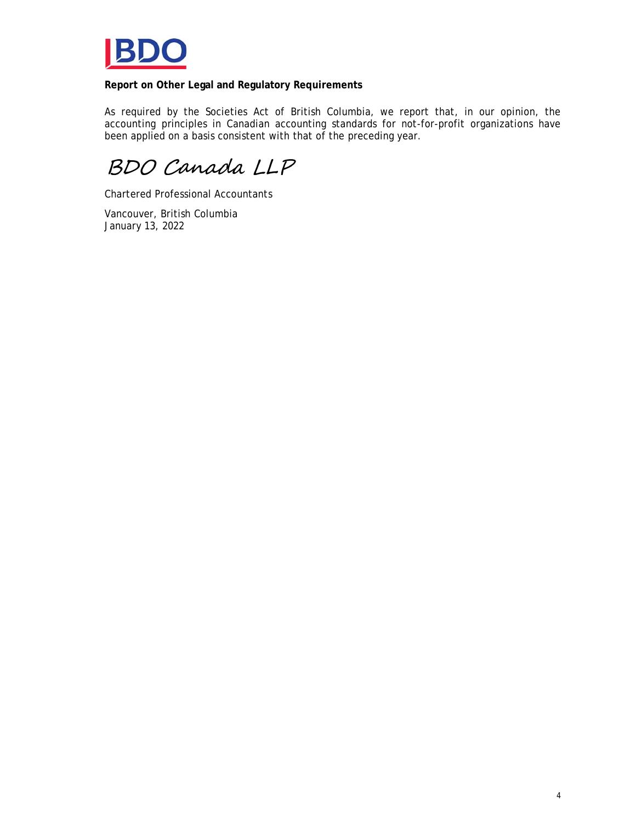

**Report on Other Legal and Regulatory Requirements**

As required by the Societies Act of British Columbia, we report that, in our opinion, the accounting principles in Canadian accounting standards for not-for-profit organizations have been applied on a basis consistent with that of the preceding year.

BDO Canada LLP

Chartered Professional Accountants

Vancouver, British Columbia January 13, 2022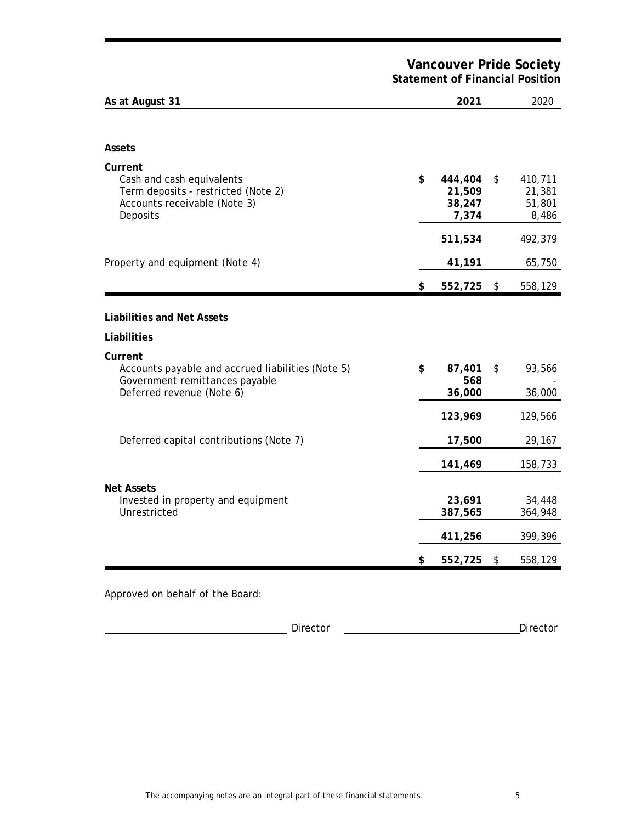# **Vancouver Pride Society Statement of Financial Position**

| As at August 31                                                                                                             | 2021                                       | 2020                                       |
|-----------------------------------------------------------------------------------------------------------------------------|--------------------------------------------|--------------------------------------------|
| Assets                                                                                                                      |                                            |                                            |
| Current<br>Cash and cash equivalents<br>Term deposits - restricted (Note 2)<br>Accounts receivable (Note 3)<br>Deposits     | \$<br>444,404<br>21,509<br>38,247<br>7,374 | \$<br>410,711<br>21,381<br>51,801<br>8,486 |
|                                                                                                                             | 511,534                                    | 492,379                                    |
| Property and equipment (Note 4)                                                                                             | 41,191                                     | 65,750                                     |
|                                                                                                                             | \$<br>552,725                              | \$<br>558,129                              |
| Liabilities and Net Assets                                                                                                  |                                            |                                            |
| Liabilities                                                                                                                 |                                            |                                            |
| Current<br>Accounts payable and accrued liabilities (Note 5)<br>Government remittances payable<br>Deferred revenue (Note 6) | \$<br>87,401<br>568<br>36,000              | \$<br>93,566<br>36,000                     |
|                                                                                                                             | 123,969                                    | 129,566                                    |
| Deferred capital contributions (Note 7)                                                                                     | 17,500                                     | 29,167                                     |
|                                                                                                                             | 141,469                                    | 158,733                                    |
| Net Assets<br>Invested in property and equipment<br>Unrestricted                                                            | 23,691<br>387,565                          | 34,448<br>364,948                          |
|                                                                                                                             | 411,256                                    | 399,396                                    |
|                                                                                                                             | \$<br>552,725                              | \$<br>558,129                              |

**Director** Director **Director Director Director**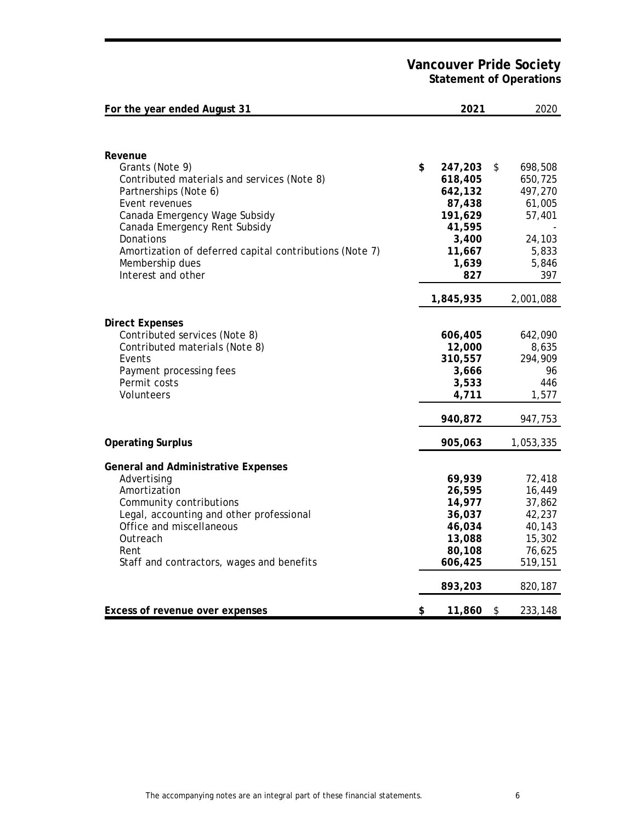**Vancouver Pride Society Statement of Operations**

| For the year ended August 31                                         | 2021             | 2020             |
|----------------------------------------------------------------------|------------------|------------------|
|                                                                      |                  |                  |
| Revenue                                                              |                  |                  |
| Grants (Note 9)                                                      | \$<br>247,203    | \$<br>698,508    |
| Contributed materials and services (Note 8)                          | 618,405          | 650,725          |
| Partnerships (Note 6)                                                | 642,132          | 497,270          |
| Event revenues                                                       | 87,438           | 61,005           |
| Canada Emergency Wage Subsidy                                        | 191,629          | 57,401           |
| Canada Emergency Rent Subsidy                                        | 41,595           |                  |
| Donations<br>Amortization of deferred capital contributions (Note 7) | 3,400<br>11,667  | 24,103<br>5,833  |
| Membership dues                                                      | 1,639            | 5,846            |
| Interest and other                                                   | 827              | 397              |
|                                                                      |                  |                  |
|                                                                      | 1,845,935        | 2,001,088        |
| <b>Direct Expenses</b>                                               |                  |                  |
| Contributed services (Note 8)                                        | 606,405          | 642,090          |
| Contributed materials (Note 8)                                       | 12,000           | 8,635            |
| Events                                                               | 310,557          | 294,909          |
| Payment processing fees                                              | 3,666            | 96               |
| Permit costs                                                         | 3,533            | 446              |
| Volunteers                                                           | 4,711            | 1,577            |
|                                                                      | 940,872          | 947,753          |
| <b>Operating Surplus</b>                                             | 905,063          | 1,053,335        |
|                                                                      |                  |                  |
| General and Administrative Expenses                                  |                  |                  |
| Advertising                                                          | 69,939           | 72,418           |
| Amortization                                                         | 26,595           | 16,449           |
| Community contributions<br>Legal, accounting and other professional  | 14,977<br>36,037 | 37,862<br>42,237 |
| Office and miscellaneous                                             | 46,034           | 40,143           |
| Outreach                                                             | 13,088           | 15,302           |
| Rent                                                                 | 80,108           | 76,625           |
| Staff and contractors, wages and benefits                            | 606,425          | 519,151          |
|                                                                      | 893,203          | 820,187          |
| Excess of revenue over expenses                                      | \$<br>11,860     | \$<br>233,148    |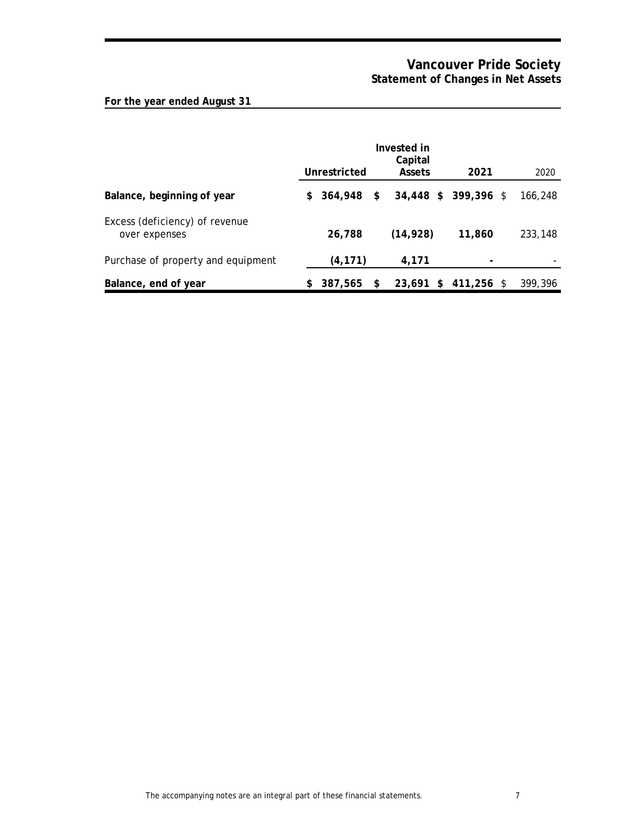# **Vancouver Pride Society Statement of Changes in Net Assets**

# **For the year ended August 31**

|                                                 |    | Unrestricted | Invested in<br>Capital<br>Assets | 2021                 | 2020    |
|-------------------------------------------------|----|--------------|----------------------------------|----------------------|---------|
| Balance, beginning of year                      | S. | 364.948 \$   |                                  | 34,448 \$ 399,396 \$ | 166,248 |
| Excess (deficiency) of revenue<br>over expenses |    | 26,788       | (14, 928)                        | 11,860               | 233,148 |
| Purchase of property and equipment              |    | (4, 171)     | 4,171                            |                      |         |
| Balance, end of year                            | \$ | 387.565      | \$<br>23,691                     | $$411,256$ \$        | 399,396 |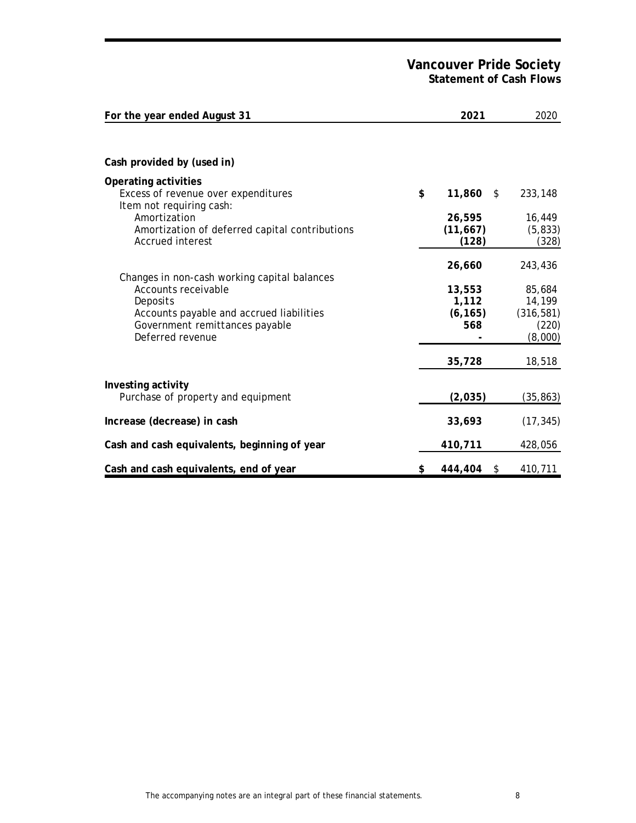# **Vancouver Pride Society Statement of Cash Flows**

| For the year ended August 31                                                                                                                                                      | 2021                               | 2020                                               |
|-----------------------------------------------------------------------------------------------------------------------------------------------------------------------------------|------------------------------------|----------------------------------------------------|
|                                                                                                                                                                                   |                                    |                                                    |
| Cash provided by (used in)                                                                                                                                                        |                                    |                                                    |
| Operating activities<br>Excess of revenue over expenditures<br>Item not requiring cash:                                                                                           | \$<br>$11,860$ \$                  | 233,148                                            |
| Amortization<br>Amortization of deferred capital contributions<br>Accrued interest                                                                                                | 26,595<br>(11, 667)<br>(128)       | 16,449<br>(5, 833)<br>(328)                        |
|                                                                                                                                                                                   | 26,660                             | 243,436                                            |
| Changes in non-cash working capital balances<br>Accounts receivable<br>Deposits<br>Accounts payable and accrued liabilities<br>Government remittances payable<br>Deferred revenue | 13,553<br>1,112<br>(6, 165)<br>568 | 85,684<br>14,199<br>(316, 581)<br>(220)<br>(8,000) |
|                                                                                                                                                                                   | 35,728                             | 18,518                                             |
| Investing activity<br>Purchase of property and equipment                                                                                                                          | (2,035)                            | (35, 863)                                          |
| Increase (decrease) in cash                                                                                                                                                       | 33,693                             | (17, 345)                                          |
| Cash and cash equivalents, beginning of year                                                                                                                                      | 410,711                            | 428,056                                            |
| Cash and cash equivalents, end of year                                                                                                                                            | \$<br>444,404<br>\$                | 410,711                                            |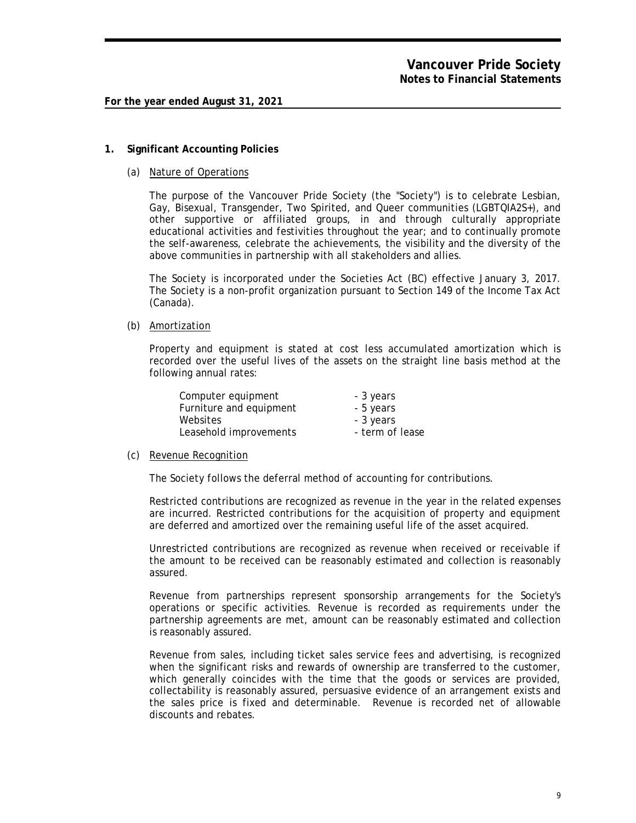### **1. Significant Accounting Policies**

(a) Nature of Operations

The purpose of the Vancouver Pride Society (the "Society") is to celebrate Lesbian, Gay, Bisexual, Transgender, Two Spirited, and Queer communities (LGBTQIA2S+), and other supportive or affiliated groups, in and through culturally appropriate educational activities and festivities throughout the year; and to continually promote the self-awareness, celebrate the achievements, the visibility and the diversity of the above communities in partnership with all stakeholders and allies.

The Society is incorporated under the Societies Act (BC) effective January 3, 2017. The Society is a non-profit organization pursuant to Section 149 of the Income Tax Act (Canada).

#### (b) Amortization

Property and equipment is stated at cost less accumulated amortization which is recorded over the useful lives of the assets on the straight line basis method at the following annual rates:

| Computer equipment      | - 3 years       |
|-------------------------|-----------------|
| Furniture and equipment | - 5 years       |
| Websites                | - 3 years       |
| Leasehold improvements  | - term of lease |

#### (c) Revenue Recognition

The Society follows the deferral method of accounting for contributions.

Restricted contributions are recognized as revenue in the year in the related expenses are incurred. Restricted contributions for the acquisition of property and equipment are deferred and amortized over the remaining useful life of the asset acquired.

Unrestricted contributions are recognized as revenue when received or receivable if the amount to be received can be reasonably estimated and collection is reasonably assured.

Revenue from partnerships represent sponsorship arrangements for the Society's operations or specific activities. Revenue is recorded as requirements under the partnership agreements are met, amount can be reasonably estimated and collection is reasonably assured.

Revenue from sales, including ticket sales service fees and advertising, is recognized when the significant risks and rewards of ownership are transferred to the customer, which generally coincides with the time that the goods or services are provided, collectability is reasonably assured, persuasive evidence of an arrangement exists and the sales price is fixed and determinable. Revenue is recorded net of allowable discounts and rebates.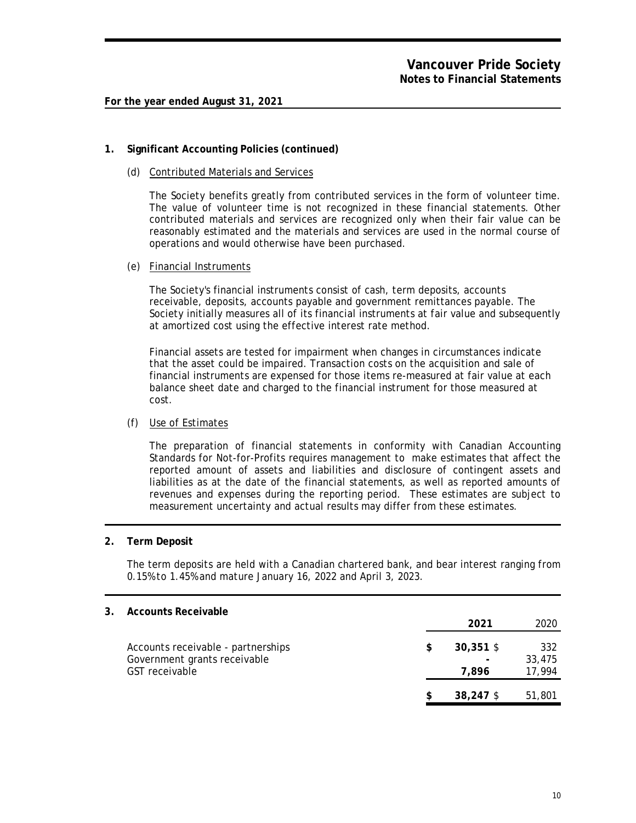## **1. Significant Accounting Policies (continued)**

(d) Contributed Materials and Services

The Society benefits greatly from contributed services in the form of volunteer time. The value of volunteer time is not recognized in these financial statements. Other contributed materials and services are recognized only when their fair value can be reasonably estimated and the materials and services are used in the normal course of operations and would otherwise have been purchased.

## (e) Financial Instruments

The Society's financial instruments consist of cash, term deposits, accounts receivable, deposits, accounts payable and government remittances payable. The Society initially measures all of its financial instruments at fair value and subsequently at amortized cost using the effective interest rate method.

Financial assets are tested for impairment when changes in circumstances indicate that the asset could be impaired. Transaction costs on the acquisition and sale of financial instruments are expensed for those items re-measured at fair value at each balance sheet date and charged to the financial instrument for those measured at cost.

## (f) Use of Estimates

The preparation of financial statements in conformity with Canadian Accounting Standards for Not-for-Profits requires management to make estimates that affect the reported amount of assets and liabilities and disclosure of contingent assets and liabilities as at the date of the financial statements, as well as reported amounts of revenues and expenses during the reporting period. These estimates are subject to measurement uncertainty and actual results may differ from these estimates.

## **2. Term Deposit**

The term deposits are held with a Canadian chartered bank, and bear interest ranging from 0.15% to 1.45% and mature January 16, 2022 and April 3, 2023.

| 3. | Accounts Receivable                                                                  |  |                      |                         |
|----|--------------------------------------------------------------------------------------|--|----------------------|-------------------------|
|    |                                                                                      |  | 2021                 | 2020                    |
|    | Accounts receivable - partnerships<br>Government grants receivable<br>GST receivable |  | $30,351$ \$<br>7.896 | 332<br>33,475<br>17,994 |
|    |                                                                                      |  | 38,247 \$            | 51,801                  |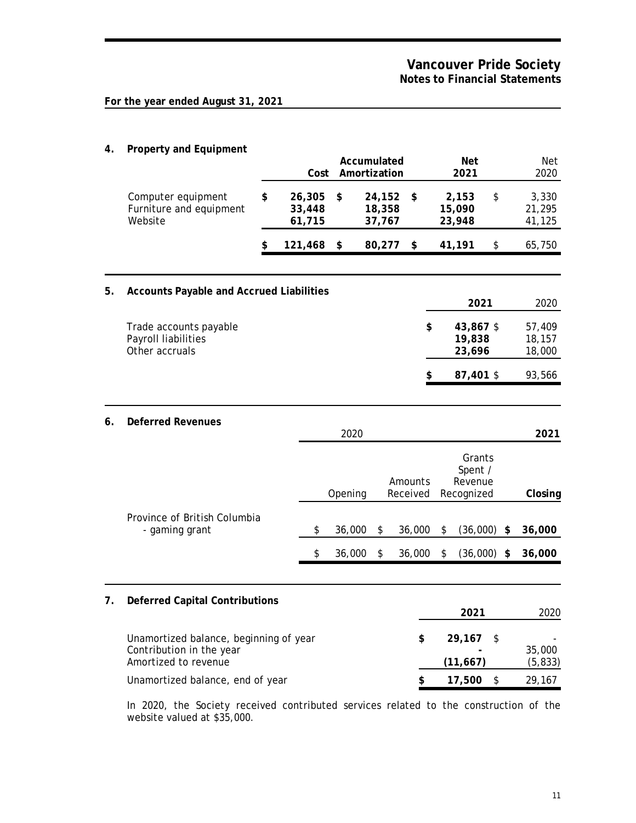**4. Property and Equipment**

|    | $1 + 0$ portly and Equin                                                                   |    | Cost                       |         | Accumulated<br>Amortization |                     | <b>Net</b><br>2021                         | Net<br>2020                     |
|----|--------------------------------------------------------------------------------------------|----|----------------------------|---------|-----------------------------|---------------------|--------------------------------------------|---------------------------------|
|    | Computer equipment<br>Furniture and equipment<br>Website                                   | \$ | 26,305<br>33,448<br>61,715 | \$      | 24,152<br>18,358<br>37,767  | \$                  | 2,153<br>15,090<br>23,948                  | \$<br>3,330<br>21,295<br>41,125 |
|    |                                                                                            | \$ | 121,468                    | \$      | 80,277                      | \$                  | 41,191                                     | \$<br>65,750                    |
| 5. | Accounts Payable and Accrued Liabilities                                                   |    |                            |         |                             |                     | 2021                                       | 2020                            |
|    | Trade accounts payable<br>Payroll liabilities<br>Other accruals                            |    |                            |         |                             |                     | \$<br>43,867 \$<br>19,838<br>23,696        | 57,409<br>18,157<br>18,000      |
|    |                                                                                            |    |                            |         |                             |                     | \$<br>87,401 \$                            | 93,566                          |
| 6. | Deferred Revenues                                                                          |    |                            | 2020    |                             |                     |                                            | 2021                            |
|    |                                                                                            |    |                            | Opening |                             | Amounts<br>Received | Grants<br>Spent /<br>Revenue<br>Recognized | Closing                         |
|    | Province of British Columbia<br>- gaming grant                                             |    | \$                         | 36,000  | \$                          | 36,000              | \$<br>(36,000)                             | \$<br>36,000                    |
|    |                                                                                            |    | \$                         | 36,000  | \$                          | 36,000              | \$<br>(36,000)                             | \$<br>36,000                    |
| 7. | Deferred Capital Contributions                                                             |    |                            |         |                             |                     | 2021                                       | 2020                            |
|    | Unamortized balance, beginning of year<br>Contribution in the year<br>Amortized to revenue |    |                            |         |                             | $\frac{1}{2}$       | 29,167<br>(11, 667)                        | \$<br>35,000<br>(5, 833)        |
|    | Unamortized balance, end of year                                                           |    |                            |         |                             | \$                  | 17,500                                     | \$<br>29,167                    |

In 2020, the Society received contributed services related to the construction of the website valued at \$35,000.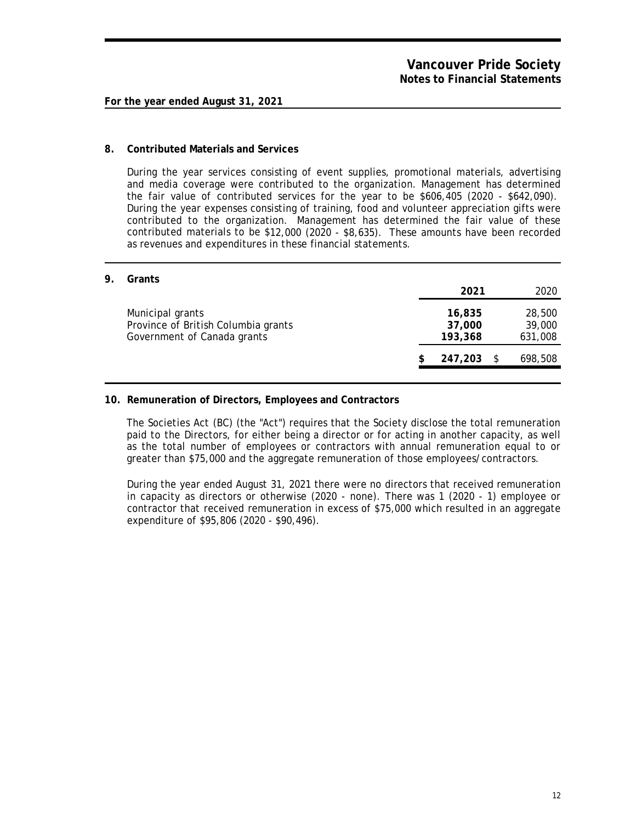## **8. Contributed Materials and Services**

During the year services consisting of event supplies, promotional materials, advertising and media coverage were contributed to the organization. Management has determined the fair value of contributed services for the year to be \$606,405 (2020 - \$642,090). During the year expenses consisting of training, food and volunteer appreciation gifts were contributed to the organization. Management has determined the fair value of these contributed materials to be \$12,000 (2020 - \$8,635). These amounts have been recorded as revenues and expenditures in these financial statements.

**9. Grants**

| UL GITLES                                                                              | 2021                        |     | 2020                        |
|----------------------------------------------------------------------------------------|-----------------------------|-----|-----------------------------|
| Municipal grants<br>Province of British Columbia grants<br>Government of Canada grants | 16,835<br>37,000<br>193,368 |     | 28,500<br>39,000<br>631,008 |
|                                                                                        | 247,203                     | - S | 698,508                     |

## **10. Remuneration of Directors, Employees and Contractors**

The Societies Act (BC) (the "Act") requires that the Society disclose the total remuneration paid to the Directors, for either being a director or for acting in another capacity, as well as the total number of employees or contractors with annual remuneration equal to or greater than \$75,000 and the aggregate remuneration of those employees/contractors.

During the year ended August 31, 2021 there were no directors that received remuneration in capacity as directors or otherwise (2020 - none). There was 1 (2020 - 1) employee or contractor that received remuneration in excess of \$75,000 which resulted in an aggregate expenditure of \$95,806 (2020 - \$90,496).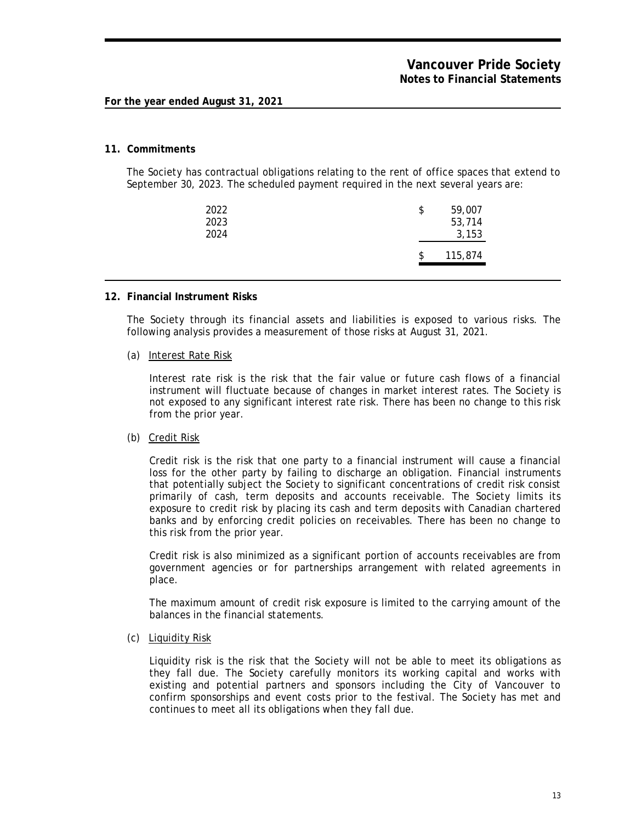#### **11. Commitments**

The Society has contractual obligations relating to the rent of office spaces that extend to September 30, 2023. The scheduled payment required in the next several years are:

| 2022<br>2023<br>2024 | \$<br>59,007<br>53,714<br>3,153 |
|----------------------|---------------------------------|
|                      | 115,874                         |

### **12. Financial Instrument Risks**

The Society through its financial assets and liabilities is exposed to various risks. The following analysis provides a measurement of those risks at August 31, 2021.

#### (a) Interest Rate Risk

Interest rate risk is the risk that the fair value or future cash flows of a financial instrument will fluctuate because of changes in market interest rates. The Society is not exposed to any significant interest rate risk. There has been no change to this risk from the prior year.

#### (b) Credit Risk

Credit risk is the risk that one party to a financial instrument will cause a financial loss for the other party by failing to discharge an obligation. Financial instruments that potentially subject the Society to significant concentrations of credit risk consist primarily of cash, term deposits and accounts receivable. The Society limits its exposure to credit risk by placing its cash and term deposits with Canadian chartered banks and by enforcing credit policies on receivables. There has been no change to this risk from the prior year.

Credit risk is also minimized as a significant portion of accounts receivables are from government agencies or for partnerships arrangement with related agreements in place.

The maximum amount of credit risk exposure is limited to the carrying amount of the balances in the financial statements.

#### (c) Liquidity Risk

Liquidity risk is the risk that the Society will not be able to meet its obligations as they fall due. The Society carefully monitors its working capital and works with existing and potential partners and sponsors including the City of Vancouver to confirm sponsorships and event costs prior to the festival. The Society has met and continues to meet all its obligations when they fall due.